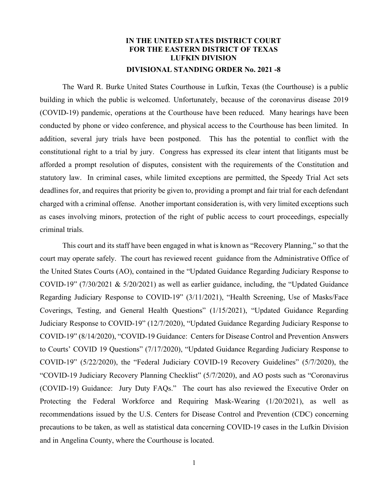## **IN THE UNITED STATES DISTRICT COURT FOR THE EASTERN DISTRICT OF TEXAS LUFKIN DIVISION DIVISIONAL STANDING ORDER No. 2021 -8**

The Ward R. Burke United States Courthouse in Lufkin, Texas (the Courthouse) is a public building in which the public is welcomed. Unfortunately, because of the coronavirus disease 2019 (COVID-19) pandemic, operations at the Courthouse have been reduced. Many hearings have been conducted by phone or video conference, and physical access to the Courthouse has been limited. In addition, several jury trials have been postponed. This has the potential to conflict with the constitutional right to a trial by jury. Congress has expressed its clear intent that litigants must be afforded a prompt resolution of disputes, consistent with the requirements of the Constitution and statutory law. In criminal cases, while limited exceptions are permitted, the Speedy Trial Act sets deadlines for, and requires that priority be given to, providing a prompt and fair trial for each defendant charged with a criminal offense. Another important consideration is, with very limited exceptions such as cases involving minors, protection of the right of public access to court proceedings, especially criminal trials.

This court and its staff have been engaged in what is known as "Recovery Planning," so that the court may operate safely. The court has reviewed recent guidance from the Administrative Office of the United States Courts (AO), contained in the "Updated Guidance Regarding Judiciary Response to COVID-19" (7/30/2021 & 5/20/2021) as well as earlier guidance, including, the "Updated Guidance Regarding Judiciary Response to COVID-19" (3/11/2021), "Health Screening, Use of Masks/Face Coverings, Testing, and General Health Questions" (1/15/2021), "Updated Guidance Regarding Judiciary Response to COVID-19" (12/7/2020), "Updated Guidance Regarding Judiciary Response to COVID-19" (8/14/2020), "COVID-19 Guidance: Centers for Disease Control and Prevention Answers to Courts' COVID 19 Questions" (7/17/2020), "Updated Guidance Regarding Judiciary Response to COVID-19" (5/22/2020), the "Federal Judiciary COVID-19 Recovery Guidelines" (5/7/2020), the "COVID-19 Judiciary Recovery Planning Checklist" (5/7/2020), and AO posts such as "Coronavirus (COVID-19) Guidance: Jury Duty FAQs." The court has also reviewed the Executive Order on Protecting the Federal Workforce and Requiring Mask-Wearing (1/20/2021), as well as recommendations issued by the U.S. Centers for Disease Control and Prevention (CDC) concerning precautions to be taken, as well as statistical data concerning COVID-19 cases in the Lufkin Division and in Angelina County, where the Courthouse is located.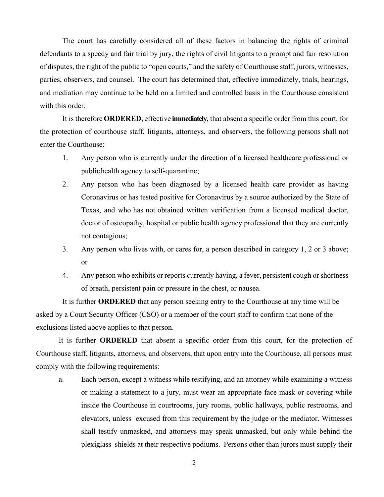The court has carefully considered all of these factors in balancing the rights of criminal defendants to a speedy and fair trial by jury, the rights of civil litigants to a prompt and fair resolution of disputes, the right of the public to "open courts," and the safety of Courthouse staff, jurors, witnesses, parties, observers, and counsel. The court has determined that, effective immediately, trials, hearings, and mediation may continue to be held on a limited and controlled basis in the Courthouse consistent with this order.

It is therefore **ORDERED**, effective **immediately**, that absent a specific order from this court, for the protection of courthouse staff, litigants, attorneys, and observers, the following persons shall not enter the Courthouse:

- 1. Any person who is currently under the direction of a licensed healthcare professional or public health agency to self-quarantine;
- 2. Any person who has been diagnosed by a licensed health care provider as having Coronavirus or has tested positive for Coronavirus by a source authorized by the State of Texas, and who has not obtained written verification from a licensed medical doctor, doctor of osteopathy, hospital or public health agency professional that they are currently not contagious;
- 3. Any person who lives with, or cares for, a person described in category 1, 2 or 3 above; or
- 4. Any person who exhibits or reports currently having, a fever, persistent cough or shortness of breath, persistent pain or pressure in the chest, or nausea.

 It is further **ORDERED** that any person seeking entry to the Courthouse at any time will be asked by a Court Security Officer (CSO) or a member of the court staff to confirm that none of the exclusions listed above applies to that person.

It is further **ORDERED** that absent a specific order from this court, for the protection of Courthouse staff, litigants, attorneys, and observers, that upon entry into the Courthouse, all persons must comply with the following requirements:

a. Each person, except a witness while testifying, and an attorney while examining a witness or making a statement to a jury, must wear an appropriate face mask or covering while inside the Courthouse in courtrooms, jury rooms, public hallways, public restrooms, and elevators, unless excused from this requirement by the judge or the mediator. Witnesses shall testify unmasked, and attorneys may speak unmasked, but only while behind the plexiglass shields at their respective podiums. Persons other than jurors must supply their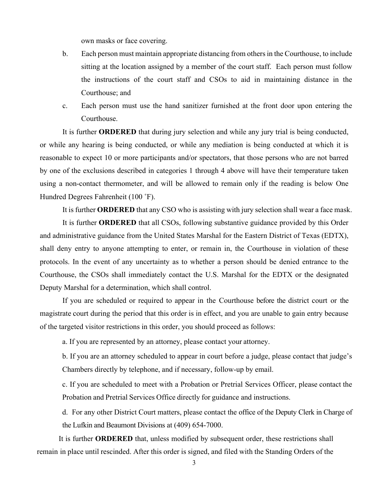own masks or face covering.

- b. Each person must maintain appropriate distancing from others in the Courthouse, to include sitting at the location assigned by a member of the court staff. Each person must follow the instructions of the court staff and CSOs to aid in maintaining distance in the Courthouse; and
- c. Each person must use the hand sanitizer furnished at the front door upon entering the Courthouse.

It is further **ORDERED** that during jury selection and while any jury trial is being conducted, or while any hearing is being conducted, or while any mediation is being conducted at which it is reasonable to expect 10 or more participants and/or spectators, that those persons who are not barred by one of the exclusions described in categories 1 through 4 above will have their temperature taken using a non-contact thermometer, and will be allowed to remain only if the reading is below One Hundred Degrees Fahrenheit (100 ˚F).

It is further **ORDERED** that any CSO who is assisting with jury selection shall wear a face mask.

It is further **ORDERED** that all CSOs, following substantive guidance provided by this Order and administrative guidance from the United States Marshal for the Eastern District of Texas (EDTX), shall deny entry to anyone attempting to enter, or remain in, the Courthouse in violation of these protocols. In the event of any uncertainty as to whether a person should be denied entrance to the Courthouse, the CSOs shall immediately contact the U.S. Marshal for the EDTX or the designated Deputy Marshal for a determination, which shall control.

If you are scheduled or required to appear in the Courthouse before the district court or the magistrate court during the period that this order is in effect, and you are unable to gain entry because of the targeted visitor restrictions in this order, you should proceed as follows:

a. If you are represented by an attorney, please contact your attorney.

b. If you are an attorney scheduled to appear in court before a judge, please contact that judge's Chambers directly by telephone, and if necessary, follow-up by email.

c. If you are scheduled to meet with a Probation or Pretrial Services Officer, please contact the Probation and Pretrial Services Office directly for guidance and instructions.

d. For any other District Court matters, please contact the office of the Deputy Clerk in Charge of the Lufkin and Beaumont Divisions at (409) 654-7000.

It is further **ORDERED** that, unless modified by subsequent order, these restrictions shall remain in place until rescinded. After this order is signed, and filed with the Standing Orders of the